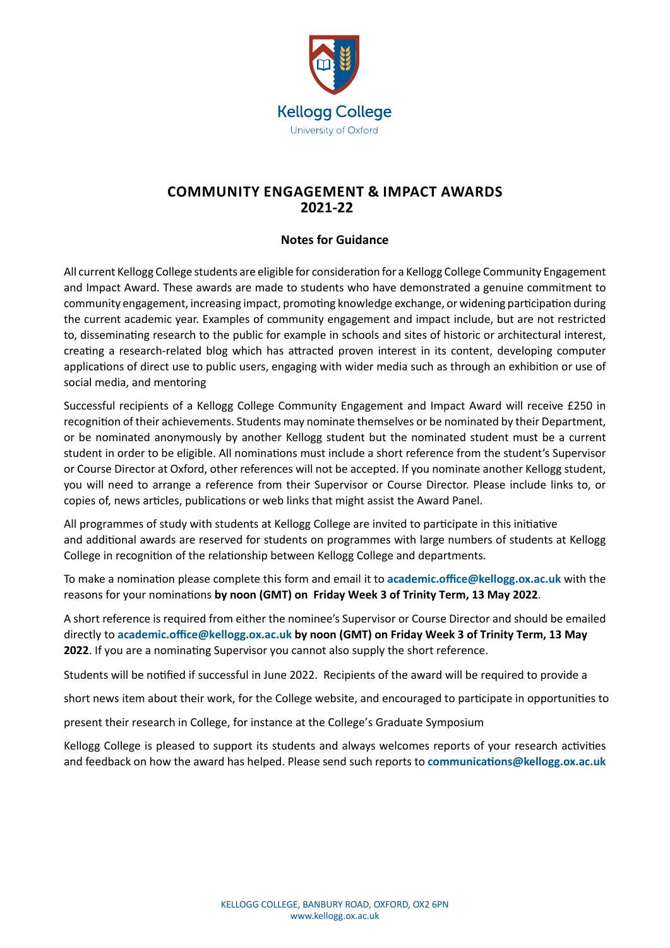

## **COMMUNITY ENGAGEMENT & IMPACT AWARDS 2021‐22**

## **Notes for Guidance**

All current Kellogg College students are eligible for consideration for a Kellogg College Community Engagement and Impact Award. These awards are made to students who have demonstrated a genuine commitment to community engagement, increasing impact, promoting knowledge exchange, or widening participation during the current academic year. Examples of community engagement and impact include, but are not restricted to, disseminating research to the public for example in schools and sites of historic or architectural interest, creating a research-related blog which has attracted proven interest in its content, developing computer applications of direct use to public users, engaging with wider media such as through an exhibition or use of social media, and mentoring

Successful recipients of a Kellogg College Community Engagement and Impact Award will receive £250 in recognition of their achievements. Students may nominate themselves or be nominated by their Department, or be nominated anonymously by another Kellogg student but the nominated student must be a current student in order to be eligible. All nominations must include a short reference from the student's Supervisor or Course Director at Oxford, other references will not be accepted. If you nominate another Kellogg student, you will need to arrange a reference from their Supervisor or Course Director. Please include links to, or copies of, news articles, publications or web links that might assist the Award Panel.

All programmes of study with students at Kellogg College are invited to participate in this initiative and additional awards are reserved for students on programmes with large numbers of students at Kellogg College in recognition of the relationship between Kellogg College and departments.

To make a nomination please complete this form and email it to **[academic.office@kellogg.ox.ac.uk](mailto:academic.office@kellogg.ox.ac.uk)** with the reasons for your nominations **by noon (GMT) on Friday Week 3 of Trinity Term, 13 May 2022**.

A short reference is required from either the nominee's Supervisor or Course Director and should be emailed directly to **[academic.office@kellogg.ox.ac.uk](mailto:academic.office@kellogg.ox.ac.uk) by noon (GMT) on Friday Week 3 of Trinity Term, 13 May 2022**. If you are a nominating Supervisor you cannot also supply the short reference.

Students will be notified if successful in June 2022. Recipients of the award will be required to provide a

short news item about their work, for the College website, and encouraged to participate in opportunities to

present their research in College, for instance at the College's Graduate Symposium

Kellogg College is pleased to support its students and always welcomes reports of your research activities and feedback on how the award has helped. Please send such reports to **[communications@kellogg.ox.ac.uk](mailto:communications%40kellogg.ox.ac.uk?subject=)**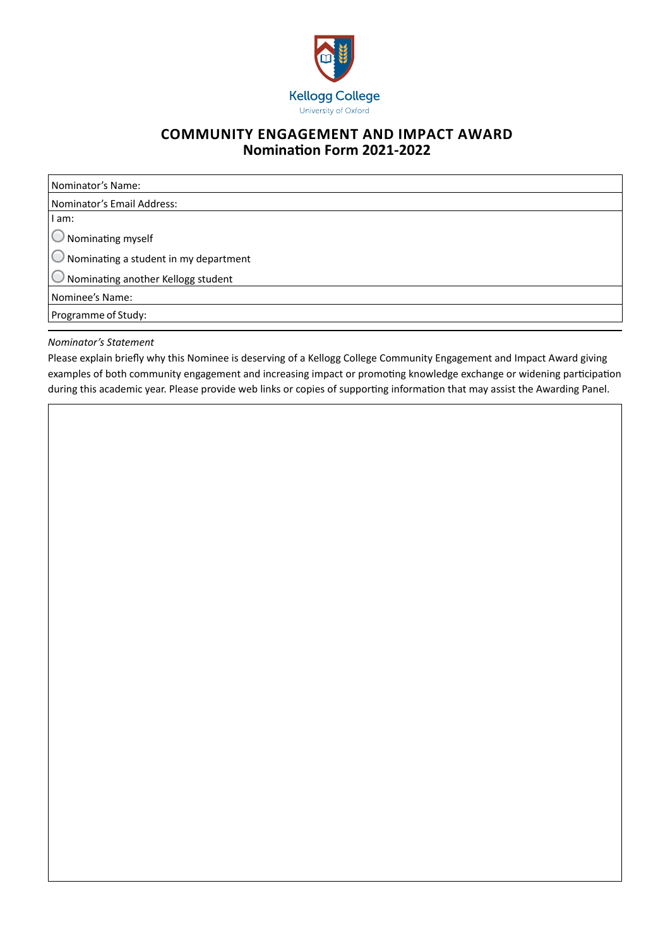

## **COMMUNITY ENGAGEMENT AND IMPACT AWARD Nomination Form 2021-2022**

Nominator's Name: Nominator's Email Address: I am: Nominating myself Nominating a student in my department Nominating another Kellogg student Nominee's Name: Programme of Study:

## *Nominator's Statement*

Please explain briefly why this Nominee is deserving of a Kellogg College Community Engagement and Impact Award giving examples of both community engagement and increasing impact or promoting knowledge exchange or widening participation during this academic year. Please provide web links or copies of supporting information that may assist the Awarding Panel.